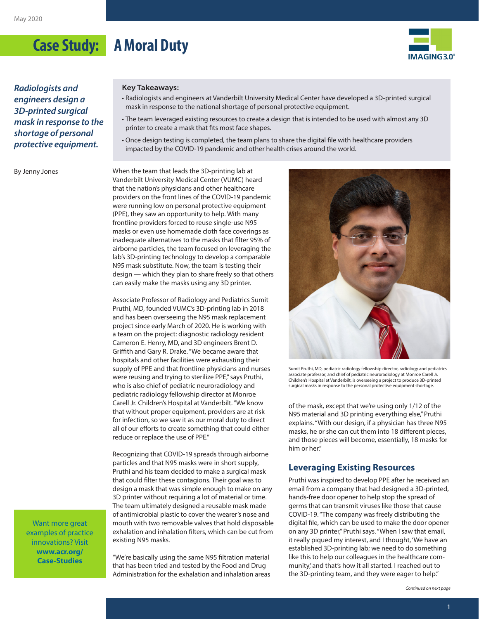# **Case Study: A Moral Duty**



*Radiologists and engineers design a 3D-printed surgical mask in response to the shortage of personal protective equipment.*

By Jenny Jones

#### **Key Takeaways:**

- Radiologists and engineers at Vanderbilt University Medical Center have developed a 3D-printed surgical mask in response to the national shortage of personal protective equipment.
- The team leveraged existing resources to create a design that is intended to be used with almost any 3D printer to create a mask that fits most face shapes.
- Once design testing is completed, the team plans to share the digital file with healthcare providers impacted by the COVID-19 pandemic and other health crises around the world.

When the team that leads the 3D-printing lab at Vanderbilt University Medical Center (VUMC) heard that the nation's physicians and other healthcare providers on the front lines of the COVID-19 pandemic were running low on personal protective equipment (PPE), they saw an opportunity to help. With many frontline providers forced to reuse single-use N95 masks or even use homemade cloth face coverings as inadequate alternatives to the masks that filter 95% of airborne particles, the team focused on leveraging the lab's 3D-printing technology to develop a comparable N95 mask substitute. Now, the team is testing their design — which they plan to share freely so that others can easily make the masks using any 3D printer.

Associate Professor of Radiology and Pediatrics Sumit Pruthi, MD, founded VUMC's 3D-printing lab in 2018 and has been overseeing the N95 mask replacement project since early March of 2020. He is working with a team on the project: diagnostic radiology resident Cameron E. Henry, MD, and 3D engineers Brent D. Griffith and Gary R. Drake. "We became aware that hospitals and other facilities were exhausting their supply of PPE and that frontline physicians and nurses were reusing and trying to sterilize PPE," says Pruthi, who is also chief of pediatric neuroradiology and pediatric radiology fellowship director at Monroe Carell Jr. Children's Hospital at Vanderbilt. "We know that without proper equipment, providers are at risk for infection, so we saw it as our moral duty to direct all of our efforts to create something that could either reduce or replace the use of PPE."

Recognizing that COVID-19 spreads through airborne particles and that N95 masks were in short supply, Pruthi and his team decided to make a surgical mask that could filter these contagions. Their goal was to design a mask that was simple enough to make on any 3D printer without requiring a lot of material or time. The team ultimately designed a reusable mask made of antimicrobial plastic to cover the wearer's nose and mouth with two removable valves that hold disposable exhalation and inhalation filters, which can be cut from existing N95 masks.



"We're basically using the same N95 filtration material that has been tried and tested by the Food and Drug Administration for the exhalation and inhalation areas



Sumit Pruthi, MD, pediatric radiology fellowship director, radiology and pediatrics associate professor, and chief of pediatric neuroradiology at Monroe Carell Jr. Children's Hospital at Vanderbilt, is overseeing a project to produce 3D-printed surgical masks in response to the personal protective equipment shortage.

of the mask, except that we're using only 1/12 of the N95 material and 3D printing everything else," Pruthi explains. "With our design, if a physician has three N95 masks, he or she can cut them into 18 different pieces, and those pieces will become, essentially, 18 masks for him or her."

#### **Leveraging Existing Resources**

Pruthi was inspired to develop PPE after he received an email from a company that had designed a 3D-printed, hands-free door opener to help stop the spread of germs that can transmit viruses like those that cause COVID-19. "The company was freely distributing the digital file, which can be used to make the door opener on any 3D printer," Pruthi says. "When I saw that email, it really piqued my interest, and I thought, 'We have an established 3D-printing lab; we need to do something like this to help our colleagues in the healthcare community,' and that's how it all started. I reached out to the 3D-printing team, and they were eager to help."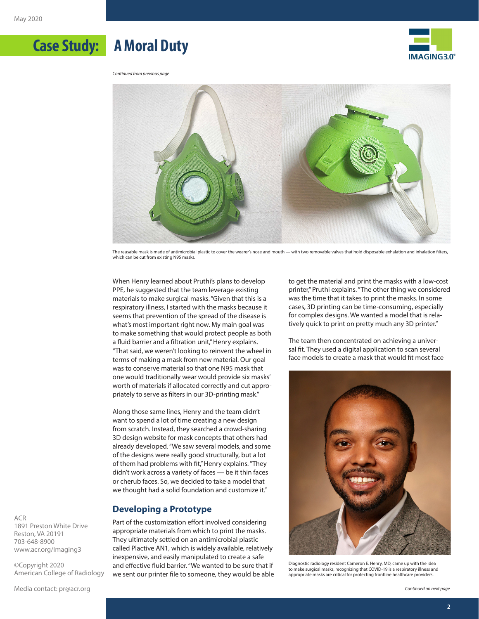



*Continued from previous page*

**Case Study: A Moral Duty**



The reusable mask is made of antimicrobial plastic to cover the wearer's nose and mouth — with two removable valves that hold disposable exhalation and inhalation filters, which can be cut from existing N95 masks.

When Henry learned about Pruthi's plans to develop PPE, he suggested that the team leverage existing materials to make surgical masks. "Given that this is a respiratory illness, I started with the masks because it seems that prevention of the spread of the disease is what's most important right now. My main goal was to make something that would protect people as both a fluid barrier and a filtration unit," Henry explains. "That said, we weren't looking to reinvent the wheel in terms of making a mask from new material. Our goal was to conserve material so that one N95 mask that one would traditionally wear would provide six masks' worth of materials if allocated correctly and cut appropriately to serve as filters in our 3D-printing mask."

Along those same lines, Henry and the team didn't want to spend a lot of time creating a new design from scratch. Instead, they searched a crowd-sharing 3D design website for mask concepts that others had already developed. "We saw several models, and some of the designs were really good structurally, but a lot of them had problems with fit," Henry explains. "They didn't work across a variety of faces — be it thin faces or cherub faces. So, we decided to take a model that we thought had a solid foundation and customize it."

#### **Developing a Prototype**

Part of the customization effort involved considering appropriate materials from which to print the masks. They ultimately settled on an antimicrobial plastic called Plactive AN1, which is widely available, relatively inexpensive, and easily manipulated to create a safe and effective fluid barrier. "We wanted to be sure that if we sent our printer file to someone, they would be able

to get the material and print the masks with a low-cost printer," Pruthi explains. "The other thing we considered was the time that it takes to print the masks. In some cases, 3D printing can be time-consuming, especially for complex designs. We wanted a model that is relatively quick to print on pretty much any 3D printer."

The team then concentrated on achieving a universal fit. They used a digital application to scan several face models to create a mask that would fit most face



Diagnostic radiology resident Cameron E. Henry, MD, came up with the idea to make surgical masks, recognizing that COVID-19 is a respiratory illness and appropriate masks are critical for protecting frontline healthcare providers.

ACR 1891 Preston White Drive Reston, VA 20191 703-648-8900 [www.acr.org/Imaging3](http://www.acr.org/Imaging3)

©Copyright 2020 American College of Radiology